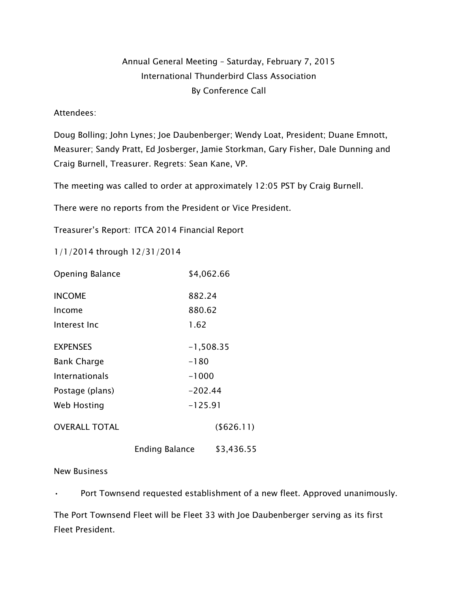## Annual General Meeting – Saturday, February 7, 2015 International Thunderbird Class Association By Conference Call

Attendees:

Doug Bolling; John Lynes; Joe Daubenberger; Wendy Loat, President; Duane Emnott, Measurer; Sandy Pratt, Ed Josberger, Jamie Storkman, Gary Fisher, Dale Dunning and Craig Burnell, Treasurer. Regrets: Sean Kane, VP.

The meeting was called to order at approximately 12:05 PST by Craig Burnell.

There were no reports from the President or Vice President.

Treasurer's Report: ITCA 2014 Financial Report

1/1/2014 through 12/31/2014

| Opening Balance      | \$4,062.66            |             |  |
|----------------------|-----------------------|-------------|--|
| <b>INCOME</b>        | 882.24                |             |  |
| Income               |                       | 880.62      |  |
| Interest Inc         |                       | 1.62        |  |
| <b>EXPENSES</b>      |                       | $-1,508.35$ |  |
| <b>Bank Charge</b>   | $-180$                |             |  |
| Internationals       | $-1000$               |             |  |
| Postage (plans)      | $-202.44$             |             |  |
| Web Hosting          | $-125.91$             |             |  |
| <b>OVERALL TOTAL</b> |                       | ( \$626.11) |  |
|                      | <b>Ending Balance</b> | \$3,436.55  |  |

New Business

• Port Townsend requested establishment of a new fleet. Approved unanimously.

The Port Townsend Fleet will be Fleet 33 with Joe Daubenberger serving as its first Fleet President.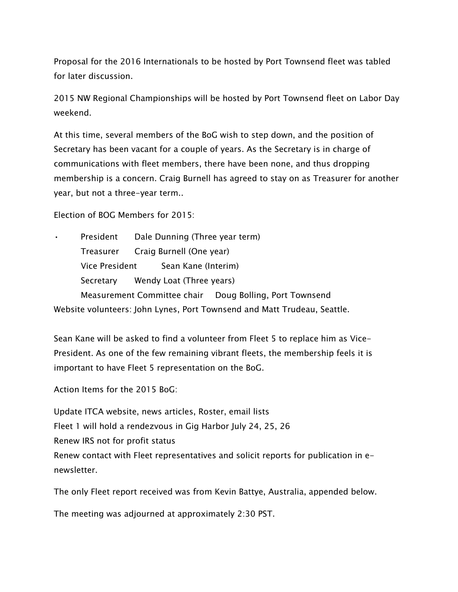Proposal for the 2016 Internationals to be hosted by Port Townsend fleet was tabled for later discussion.

2015 NW Regional Championships will be hosted by Port Townsend fleet on Labor Day weekend.

At this time, several members of the BoG wish to step down, and the position of Secretary has been vacant for a couple of years. As the Secretary is in charge of communications with fleet members, there have been none, and thus dropping membership is a concern. Craig Burnell has agreed to stay on as Treasurer for another year, but not a three-year term..

Election of BOG Members for 2015:

President Dale Dunning (Three year term) Treasurer Craig Burnell (One year) Vice President Sean Kane (Interim) Secretary Wendy Loat (Three years) Measurement Committee chair Doug Bolling, Port Townsend Website volunteers: John Lynes, Port Townsend and Matt Trudeau, Seattle.

Sean Kane will be asked to find a volunteer from Fleet 5 to replace him as Vice-President. As one of the few remaining vibrant fleets, the membership feels it is important to have Fleet 5 representation on the BoG.

Action Items for the 2015 BoG:

Update ITCA website, news articles, Roster, email lists Fleet 1 will hold a rendezvous in Gig Harbor July 24, 25, 26 Renew IRS not for profit status Renew contact with Fleet representatives and solicit reports for publication in enewsletter.

The only Fleet report received was from Kevin Battye, Australia, appended below.

The meeting was adjourned at approximately 2:30 PST.